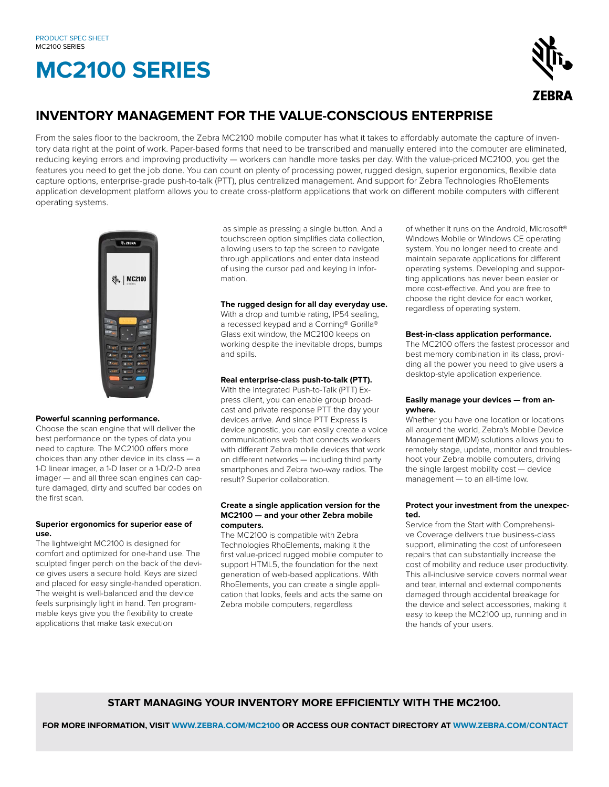# **MC2100 SERIES**



### **INVENTORY MANAGEMENT FOR THE VALUE-CONSCIOUS ENTERPRISE**

From the sales floor to the backroom, the Zebra MC2100 mobile computer has what it takes to affordably automate the capture of inventory data right at the point of work. Paper-based forms that need to be transcribed and manually entered into the computer are eliminated, reducing keying errors and improving productivity — workers can handle more tasks per day. With the value-priced MC2100, you get the features you need to get the job done. You can count on plenty of processing power, rugged design, superior ergonomics, flexible data capture options, enterprise-grade push-to-talk (PTT), plus centralized management. And support for Zebra Technologies RhoElements application development platform allows you to create cross-platform applications that work on different mobile computers with different operating systems.



#### **Powerful scanning performance.**

Choose the scan engine that will deliver the best performance on the types of data you need to capture. The MC2100 offers more choices than any other device in its class — a 1-D linear imager, a 1-D laser or a 1-D/2-D area imager — and all three scan engines can capture damaged, dirty and scuffed bar codes on the first scan.

#### **Superior ergonomics for superior ease of use.**

The lightweight MC2100 is designed for comfort and optimized for one-hand use. The sculpted finger perch on the back of the device gives users a secure hold. Keys are sized and placed for easy single-handed operation. The weight is well-balanced and the device feels surprisingly light in hand. Ten programmable keys give you the flexibility to create applications that make task execution

 as simple as pressing a single button. And a touchscreen option simplifies data collection, allowing users to tap the screen to navigate through applications and enter data instead of using the cursor pad and keying in information.

#### **The rugged design for all day everyday use.**

With a drop and tumble rating, IP54 sealing, a recessed keypad and a Corning® Gorilla® Glass exit window, the MC2100 keeps on working despite the inevitable drops, bumps and spills.

#### **Real enterprise-class push-to-talk (PTT).**

With the integrated Push-to-Talk (PTT) Express client, you can enable group broadcast and private response PTT the day your devices arrive. And since PTT Express is device agnostic, you can easily create a voice communications web that connects workers with different Zebra mobile devices that work on different networks — including third party smartphones and Zebra two-way radios. The result? Superior collaboration.

#### **Create a single application version for the MC2100 — and your other Zebra mobile computers.**

The MC2100 is compatible with Zebra Technologies RhoElements, making it the first value-priced rugged mobile computer to support HTML5, the foundation for the next generation of web-based applications. With RhoElements, you can create a single application that looks, feels and acts the same on Zebra mobile computers, regardless

of whether it runs on the Android, Microsoft® Windows Mobile or Windows CE operating system. You no longer need to create and maintain separate applications for different operating systems. Developing and supporting applications has never been easier or more cost-effective. And you are free to choose the right device for each worker, regardless of operating system.

#### **Best-in-class application performance.**

The MC2100 offers the fastest processor and best memory combination in its class, providing all the power you need to give users a desktop-style application experience.

#### **Easily manage your devices — from anywhere.**

Whether you have one location or locations all around the world, Zebra's Mobile Device Management (MDM) solutions allows you to remotely stage, update, monitor and troubleshoot your Zebra mobile computers, driving the single largest mobility cost — device management — to an all-time low.

#### **Protect your investment from the unexpected.**

Service from the Start with Comprehensive Coverage delivers true business-class support, eliminating the cost of unforeseen repairs that can substantially increase the cost of mobility and reduce user productivity. This all-inclusive service covers normal wear and tear, internal and external components damaged through accidental breakage for the device and select accessories, making it easy to keep the MC2100 up, running and in the hands of your users.

#### **START MANAGING YOUR INVENTORY MORE EFFICIENTLY WITH THE MC2100.**

 **FOR MORE INFORMATION, VISIT WWW.ZEBRA.COM/MC2100 OR ACCESS OUR CONTACT DIRECTORY AT WWW.ZEBRA.COM/CONTACT**